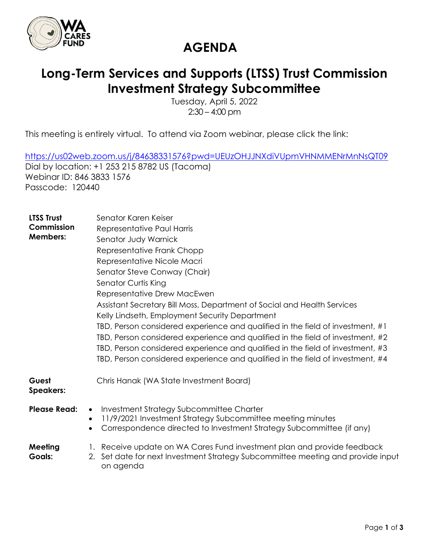

#### **AGENDA**

#### **Long-Term Services and Supports (LTSS) Trust Commission Investment Strategy Subcommittee**

Tuesday, April 5, 2022  $2:30 - 4:00$  pm

This meeting is entirely virtual. To attend via Zoom webinar, please click the link:

<https://us02web.zoom.us/j/84638331576?pwd=UEUzOHJJNXdiVUpmVHNMMENrMnNsQT09> Dial by location: +1 253 215 8782 US (Tacoma) Webinar ID: 846 3833 1576 Passcode: 120440

| <b>LTSS Trust</b><br>Commission<br><b>Members:</b> | Senator Karen Keiser<br>Representative Paul Harris<br>Senator Judy Warnick<br>Representative Frank Chopp<br>Representative Nicole Macri<br>Senator Steve Conway (Chair)<br>Senator Curtis King<br>Representative Drew MacEwen<br>Assistant Secretary Bill Moss, Department of Social and Health Services<br>Kelly Lindseth, Employment Security Department<br>TBD, Person considered experience and qualified in the field of investment, #1<br>TBD, Person considered experience and qualified in the field of investment, #2<br>TBD, Person considered experience and qualified in the field of investment, #3<br>TBD, Person considered experience and qualified in the field of investment, #4 |
|----------------------------------------------------|----------------------------------------------------------------------------------------------------------------------------------------------------------------------------------------------------------------------------------------------------------------------------------------------------------------------------------------------------------------------------------------------------------------------------------------------------------------------------------------------------------------------------------------------------------------------------------------------------------------------------------------------------------------------------------------------------|
| Guest<br><b>Speakers:</b>                          | Chris Hanak (WA State Investment Board)                                                                                                                                                                                                                                                                                                                                                                                                                                                                                                                                                                                                                                                            |
| <b>Please Read:</b>                                | Investment Strategy Subcommittee Charter<br>$\bullet$<br>11/9/2021 Investment Strategy Subcommittee meeting minutes<br>$\bullet$<br>Correspondence directed to Investment Strategy Subcommittee (if any)<br>$\bullet$                                                                                                                                                                                                                                                                                                                                                                                                                                                                              |
| Meeting<br><b>Goals:</b>                           | 1. Receive update on WA Cares Fund investment plan and provide feedback<br>Set date for next Investment Strategy Subcommittee meeting and provide input<br>2.<br>on agenda                                                                                                                                                                                                                                                                                                                                                                                                                                                                                                                         |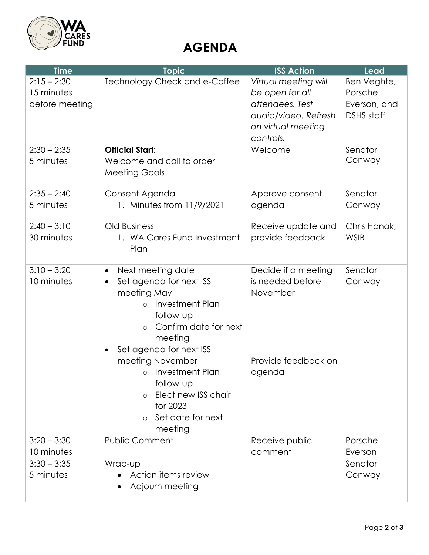

## **AGENDA**

| <b>Time</b>                                   | <b>Topic</b>                                                                                                                                                                                               | <b>ISS Action</b>                                                                                                     | Lead                                                        |
|-----------------------------------------------|------------------------------------------------------------------------------------------------------------------------------------------------------------------------------------------------------------|-----------------------------------------------------------------------------------------------------------------------|-------------------------------------------------------------|
| $2:15 - 2:30$<br>15 minutes<br>before meeting | Technology Check and e-Coffee                                                                                                                                                                              | Virtual meeting will<br>be open for all<br>attendees. Test<br>audio/video. Refresh<br>on virtual meeting<br>controls. | Ben Veghte,<br>Porsche<br>Everson, and<br><b>DSHS</b> staff |
| $2:30 - 2:35$<br>5 minutes                    | <b>Official Start:</b><br>Welcome and call to order<br><b>Meeting Goals</b>                                                                                                                                | Welcome                                                                                                               | Senator<br>Conway                                           |
| $2:35 - 2:40$<br>5 minutes                    | Consent Agenda<br>1. Minutes from 11/9/2021                                                                                                                                                                | Approve consent<br>agenda                                                                                             | Senator<br>Conway                                           |
| $2:40 - 3:10$<br>30 minutes                   | <b>Old Business</b><br>1. WA Cares Fund Investment<br>Plan                                                                                                                                                 | Receive update and<br>provide feedback                                                                                | Chris Hanak,<br><b>WSIB</b>                                 |
| $3:10 - 3:20$<br>10 minutes                   | Next meeting date<br>$\bullet$<br>Set agenda for next ISS<br>$\bullet$<br>meeting May<br>Investment Plan<br>$\circ$<br>follow-up<br>Confirm date for next<br>$\circ$<br>meeting<br>Set agenda for next ISS | Decide if a meeting<br>is needed before<br>November                                                                   | Senator<br>Conway                                           |
|                                               | meeting November<br>Investment Plan<br>$\circ$<br>follow-up<br>Elect new ISS chair<br>for 2023<br>Set date for next<br>$\Omega$<br>meeting                                                                 | Provide feedback on<br>agenda                                                                                         |                                                             |
| $3:20 - 3:30$<br>10 minutes                   | <b>Public Comment</b>                                                                                                                                                                                      | Receive public<br>comment                                                                                             | Porsche<br>Everson                                          |
| $3:30 - 3:35$<br>5 minutes                    | Wrap-up<br>Action items review<br>Adjourn meeting                                                                                                                                                          |                                                                                                                       | Senator<br>Conway                                           |